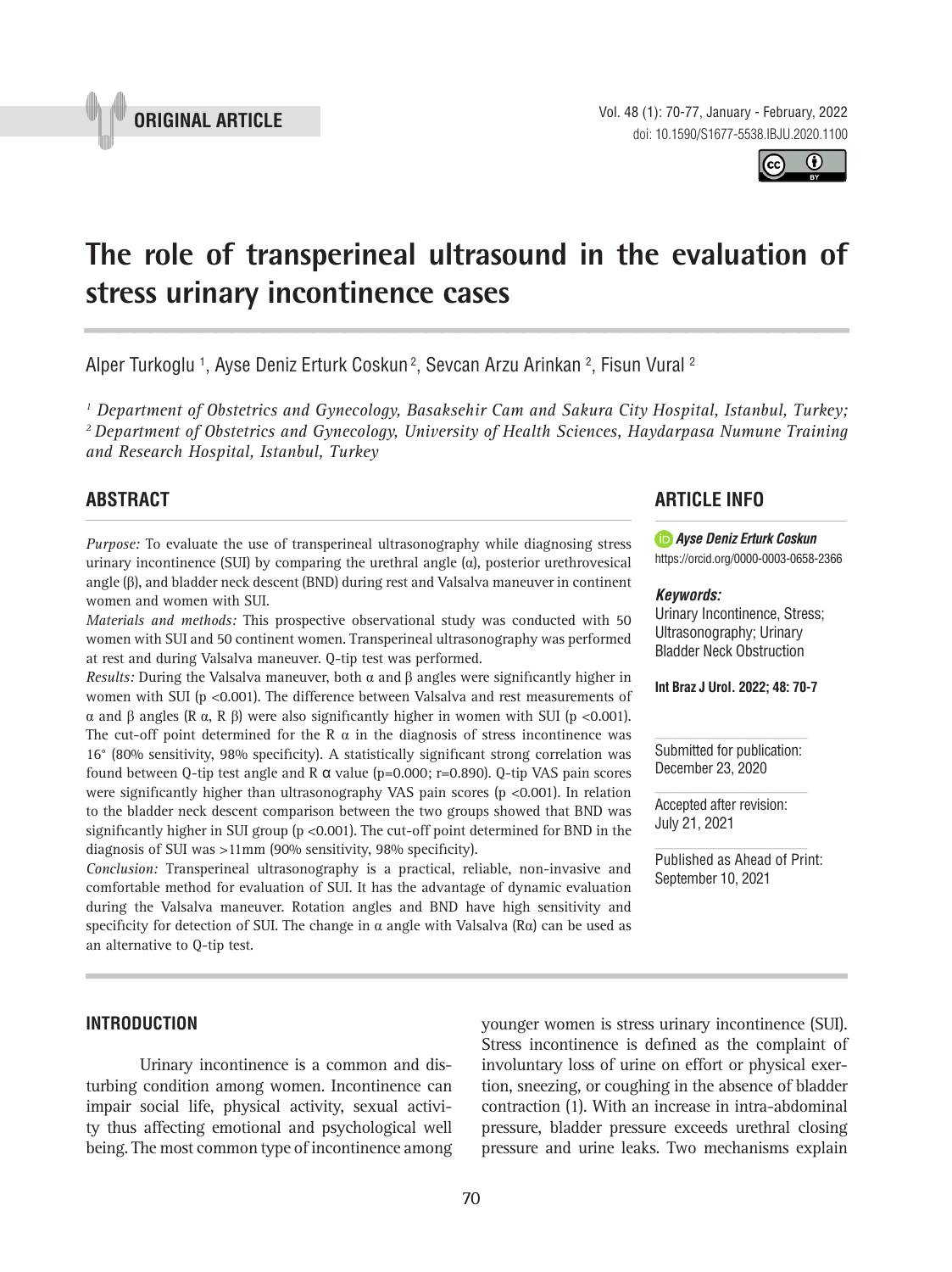



# **The role of transperineal ultrasound in the evaluation of stress urinary incontinence cases \_\_\_\_\_\_\_\_\_\_\_\_\_\_\_\_\_\_\_\_\_\_\_\_\_\_\_\_\_\_\_\_\_\_\_\_\_\_\_\_\_\_\_\_\_\_\_**

Alper Turkoglu <sup>1</sup>, Ayse Deniz Erturk Coskun<sup>2</sup>, Sevcan Arzu Arinkan <sup>2</sup>, Fisun Vural <sup>2</sup>

*1 Department of Obstetrics and Gynecology, Basaksehir Cam and Sakura City Hospital, Istanbul, Turkey; 2 Department of Obstetrics and Gynecology, University of Health Sciences, Haydarpasa Numune Training and Research Hospital, Istanbul, Turkey*

## **ABSTRACT**

*Purpose:* To evaluate the use of transperineal ultrasonography while diagnosing stress urinary incontinence (SUI) by comparing the urethral angle  $(\alpha)$ , posterior urethrovesical angle (β), and bladder neck descent (BND) during rest and Valsalva maneuver in continent women and women with SUI.

*Materials and methods:* This prospective observational study was conducted with 50 women with SUI and 50 continent women. Transperineal ultrasonography was performed at rest and during Valsalva maneuver. Q-tip test was performed.

*Results: During the Valsalva maneuver, both*  $\alpha$  *and*  $\beta$  *angles were significantly higher in* women with SUI (p <0.001). The difference between Valsalva and rest measurements of α and β angles (R α, R β) were also significantly higher in women with SUI (p <0.001). The cut-off point determined for the R  $\alpha$  in the diagnosis of stress incontinence was 16° (80% sensitivity, 98% specificity). A statistically significant strong correlation was found between Q-tip test angle and R  $\alpha$  value (p=0.000; r=0.890). Q-tip VAS pain scores were significantly higher than ultrasonography VAS pain scores (p <0.001). In relation to the bladder neck descent comparison between the two groups showed that BND was significantly higher in SUI group ( $p < 0.001$ ). The cut-off point determined for BND in the diagnosis of SUI was >11mm (90% sensitivity, 98% specificity).

*Conclusion:* Transperineal ultrasonography is a practical, reliable, non-invasive and comfortable method for evaluation of SUI. It has the advantage of dynamic evaluation during the Valsalva maneuver. Rotation angles and BND have high sensitivity and specificity for detection of SUI. The change in  $\alpha$  angle with Valsalva (R $\alpha$ ) can be used as an alternative to Q-tip test.

## **ARTICLE INFO**

*Ayse Deniz Erturk Coskun* https://orcid.org/0000-0003-0658-2366

#### *Keywords:*

Urinary Incontinence, Stress; Ultrasonography; Urinary Bladder Neck Obstruction

**Int Braz J Urol. 2022; 48: 70-7**

Submitted for publication: December 23, 2020

Accepted after revision: July 21, 2021

Published as Ahead of Print: September 10, 2021

#### **INTRODUCTION**

Urinary incontinence is a common and disturbing condition among women. Incontinence can impair social life, physical activity, sexual activity thus affecting emotional and psychological well being. The most common type of incontinence among younger women is stress urinary incontinence (SUI). Stress incontinence is defined as the complaint of involuntary loss of urine on effort or physical exertion, sneezing, or coughing in the absence of bladder contraction (1). With an increase in intra-abdominal pressure, bladder pressure exceeds urethral closing pressure and urine leaks. Two mechanisms explain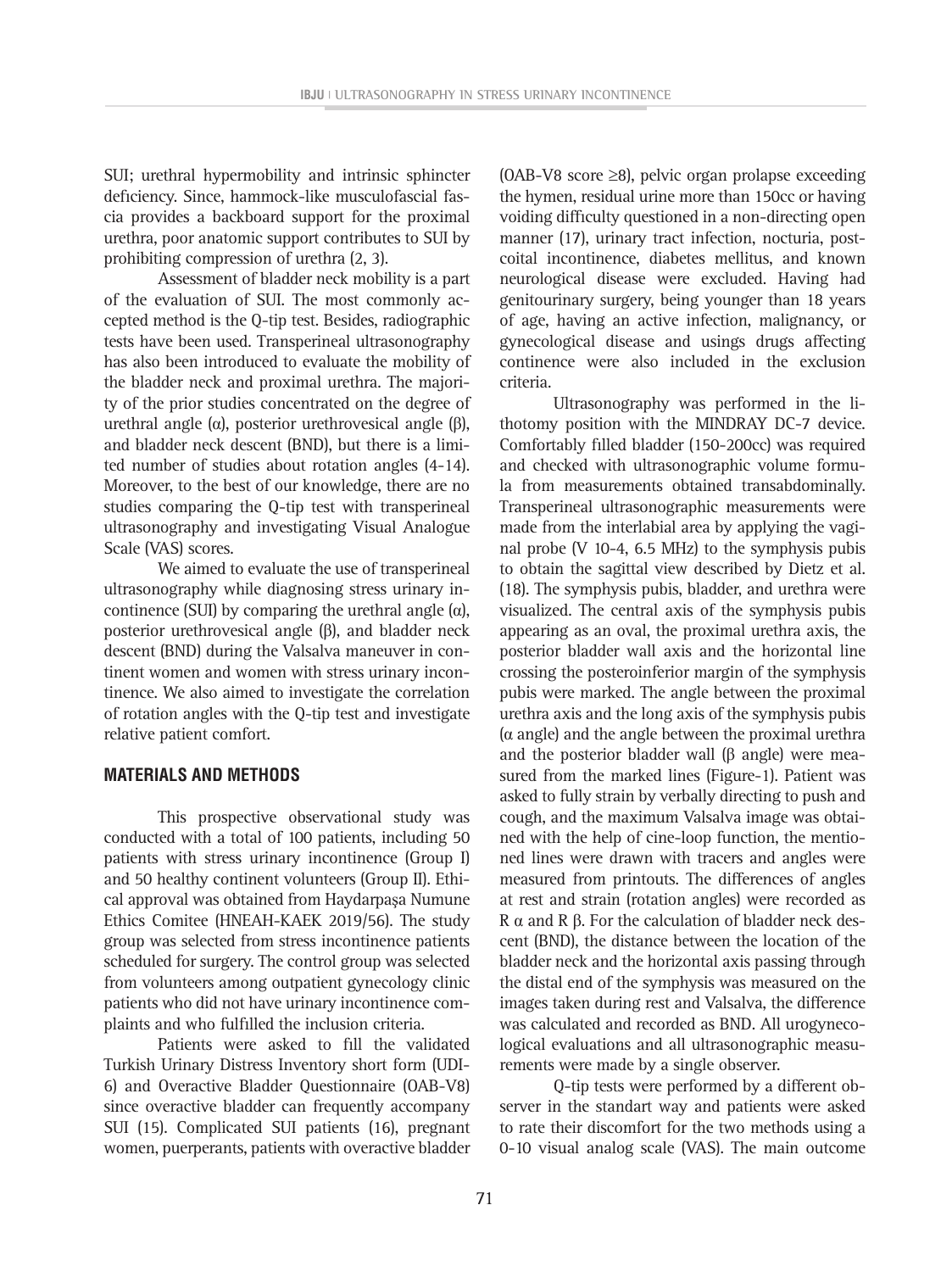SUI; urethral hypermobility and intrinsic sphincter deficiency. Since, hammock-like musculofascial fascia provides a backboard support for the proximal urethra, poor anatomic support contributes to SUI by prohibiting compression of urethra (2, 3).

Assessment of bladder neck mobility is a part of the evaluation of SUI. The most commonly accepted method is the Q-tip test. Besides, radiographic tests have been used. Transperineal ultrasonography has also been introduced to evaluate the mobility of the bladder neck and proximal urethra. The majority of the prior studies concentrated on the degree of urethral angle (α), posterior urethrovesical angle (β), and bladder neck descent (BND), but there is a limited number of studies about rotation angles (4-14). Moreover, to the best of our knowledge, there are no studies comparing the Q-tip test with transperineal ultrasonography and investigating Visual Analogue Scale (VAS) scores.

We aimed to evaluate the use of transperineal ultrasonography while diagnosing stress urinary incontinence (SUI) by comparing the urethral angle (α), posterior urethrovesical angle (β), and bladder neck descent (BND) during the Valsalva maneuver in continent women and women with stress urinary incontinence. We also aimed to investigate the correlation of rotation angles with the Q-tip test and investigate relative patient comfort.

#### **MATERIALS AND METHODS**

This prospective observational study was conducted with a total of 100 patients, including 50 patients with stress urinary incontinence (Group I) and 50 healthy continent volunteers (Group II). Ethical approval was obtained from Haydarpaşa Numune Ethics Comitee (HNEAH-KAEK 2019/56). The study group was selected from stress incontinence patients scheduled for surgery. The control group was selected from volunteers among outpatient gynecology clinic patients who did not have urinary incontinence complaints and who fulfilled the inclusion criteria.

Patients were asked to fill the validated Turkish Urinary Distress Inventory short form (UDI-6) and Overactive Bladder Questionnaire (OAB-V8) since overactive bladder can frequently accompany SUI (15). Complicated SUI patients (16), pregnant women, puerperants, patients with overactive bladder

(OAB-V8 score ≥8), pelvic organ prolapse exceeding the hymen, residual urine more than 150cc or having voiding difficulty questioned in a non-directing open manner (17), urinary tract infection, nocturia, postcoital incontinence, diabetes mellitus, and known neurological disease were excluded. Having had genitourinary surgery, being younger than 18 years of age, having an active infection, malignancy, or gynecological disease and usings drugs affecting continence were also included in the exclusion criteria.

Ultrasonography was performed in the lithotomy position with the MINDRAY DC-7 device. Comfortably filled bladder (150-200cc) was required and checked with ultrasonographic volume formula from measurements obtained transabdominally. Transperineal ultrasonographic measurements were made from the interlabial area by applying the vaginal probe (V 10-4, 6.5 MHz) to the symphysis pubis to obtain the sagittal view described by Dietz et al. (18). The symphysis pubis, bladder, and urethra were visualized. The central axis of the symphysis pubis appearing as an oval, the proximal urethra axis, the posterior bladder wall axis and the horizontal line crossing the posteroinferior margin of the symphysis pubis were marked. The angle between the proximal urethra axis and the long axis of the symphysis pubis (α angle) and the angle between the proximal urethra and the posterior bladder wall (β angle) were measured from the marked lines (Figure-1). Patient was asked to fully strain by verbally directing to push and cough, and the maximum Valsalva image was obtained with the help of cine-loop function, the mentioned lines were drawn with tracers and angles were measured from printouts. The differences of angles at rest and strain (rotation angles) were recorded as R α and R β. For the calculation of bladder neck descent (BND), the distance between the location of the bladder neck and the horizontal axis passing through the distal end of the symphysis was measured on the images taken during rest and Valsalva, the difference was calculated and recorded as BND. All urogynecological evaluations and all ultrasonographic measurements were made by a single observer.

Q-tip tests were performed by a different observer in the standart way and patients were asked to rate their discomfort for the two methods using a 0-10 visual analog scale (VAS). The main outcome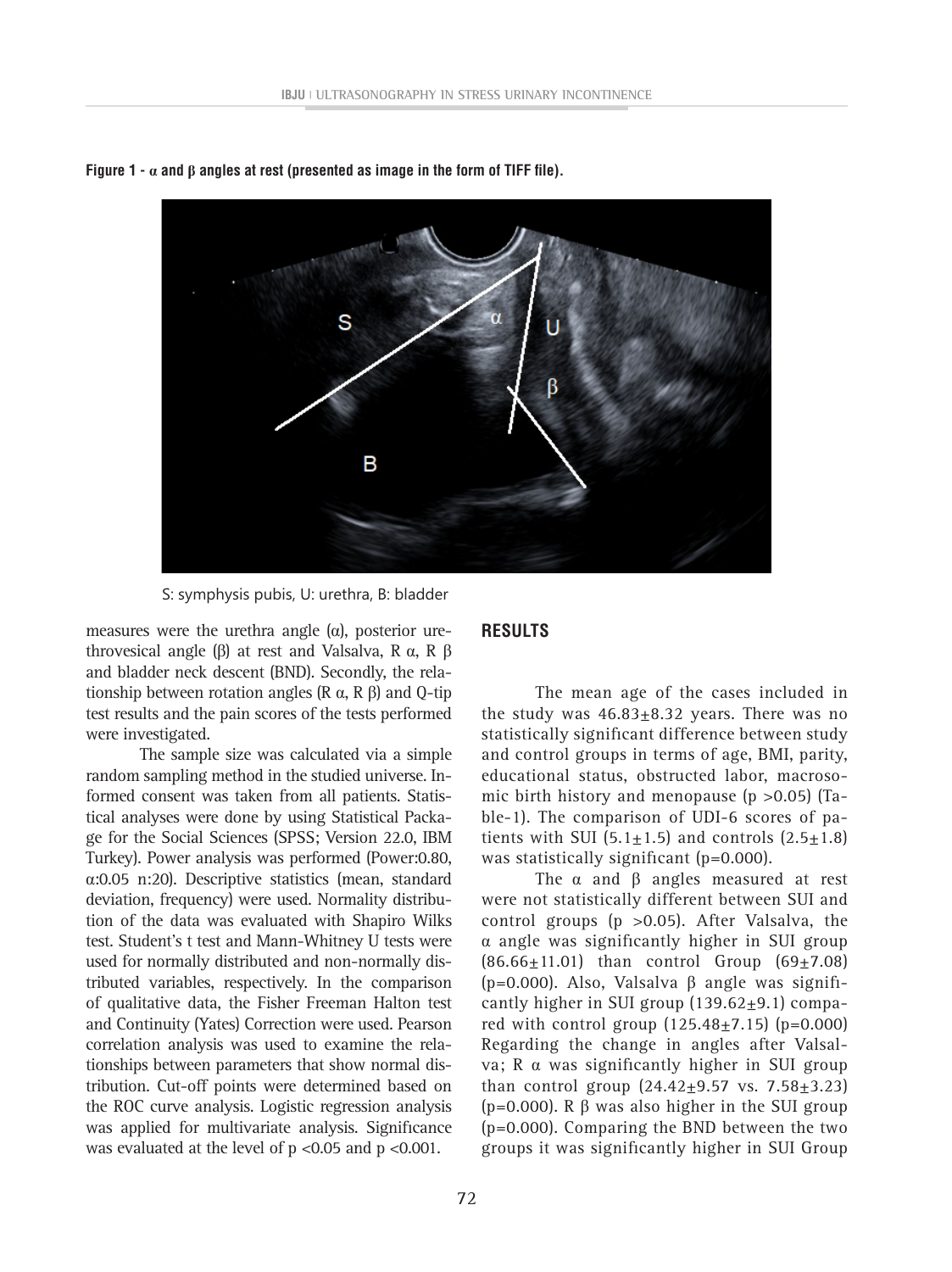

**Figure 1 -**  $\alpha$  and  $\beta$  angles at rest (presented as image in the form of TIFF file).

S: symphysis pubis, U: urethra, B: bladder

measures were the urethra angle  $(\alpha)$ , posterior urethrovesical angle (β) at rest and Valsalva, R α, R β and bladder neck descent (BND). Secondly, the relationship between rotation angles (R  $\alpha$ , R β) and Q-tip test results and the pain scores of the tests performed were investigated.

The sample size was calculated via a simple random sampling method in the studied universe. Informed consent was taken from all patients. Statistical analyses were done by using Statistical Package for the Social Sciences (SPSS; Version 22.0, IBM Turkey). Power analysis was performed (Power:0.80, α:0.05 n:20). Descriptive statistics (mean, standard deviation, frequency) were used. Normality distribution of the data was evaluated with Shapiro Wilks test. Student's t test and Mann-Whitney U tests were used for normally distributed and non-normally distributed variables, respectively. In the comparison of qualitative data, the Fisher Freeman Halton test and Continuity (Yates) Correction were used. Pearson correlation analysis was used to examine the relationships between parameters that show normal distribution. Cut-off points were determined based on the ROC curve analysis. Logistic regression analysis was applied for multivariate analysis. Significance was evaluated at the level of p <0.05 and p <0.001.

#### **RESULTS**

The mean age of the cases included in the study was  $46.83 \pm 8.32$  years. There was no statistically significant difference between study and control groups in terms of age, BMI, parity, educational status, obstructed labor, macrosomic birth history and menopause  $(p > 0.05)$  (Table-1). The comparison of UDI-6 scores of patients with SUI  $(5.1+1.5)$  and controls  $(2.5+1.8)$ was statistically significant (p=0.000).

The  $\alpha$  and  $\beta$  angles measured at rest were not statistically different between SUI and control groups (p >0.05). After Valsalva, the α angle was significantly higher in SUI group  $(86.66 \pm 11.01)$  than control Group  $(69 \pm 7.08)$ (p=0.000). Also, Valsalva β angle was significantly higher in SUI group  $(139.62 \pm 9.1)$  compared with control group  $(125.48 \pm 7.15)$  (p=0.000) Regarding the change in angles after Valsalva; R α was significantly higher in SUI group than control group  $(24.42 \pm 9.57 \text{ vs. } 7.58 \pm 3.23)$ ( $p=0.000$ ). R  $\beta$  was also higher in the SUI group (p=0.000). Comparing the BND between the two groups it was significantly higher in SUI Group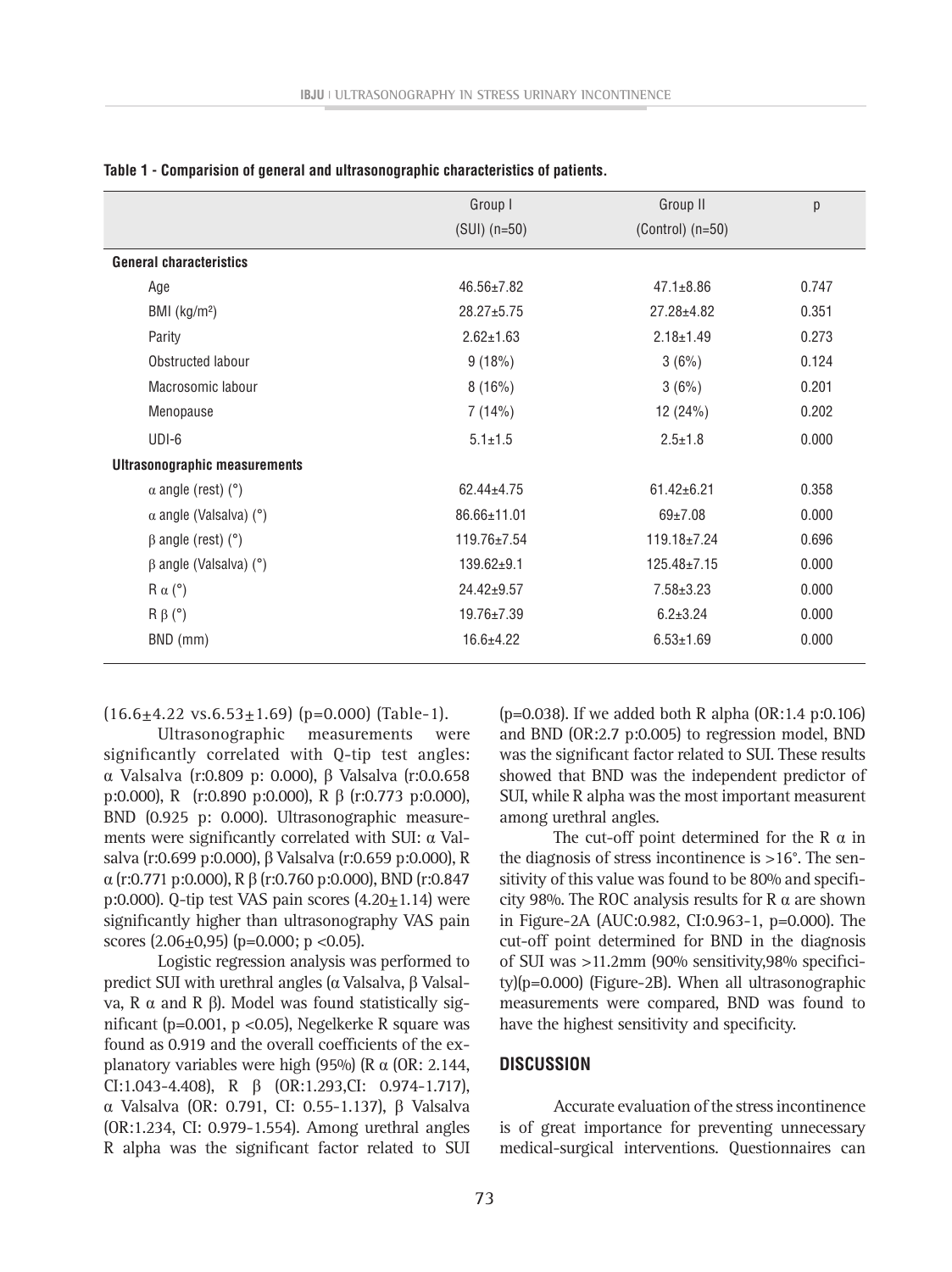|                                      | Group I           | Group II             | p     |
|--------------------------------------|-------------------|----------------------|-------|
|                                      | $(SUI)$ (n=50)    | $(Control)$ $(n=50)$ |       |
| <b>General characteristics</b>       |                   |                      |       |
| Age                                  | $46.56 \pm 7.82$  | $47.1 \pm 8.86$      | 0.747 |
| BMI $(kg/m2)$                        | $28.27 + 5.75$    | $27.28 + 4.82$       | 0.351 |
| Parity                               | $2.62 \pm 1.63$   | $2.18 \pm 1.49$      | 0.273 |
| Obstructed labour                    | 9(18%)            | 3(6%)                | 0.124 |
| Macrosomic labour                    | 8(16%)            | 3(6%)                | 0.201 |
| Menopause                            | 7(14%)            | 12 (24%)             | 0.202 |
| UDI-6                                | $5.1 \pm 1.5$     | $2.5 \pm 1.8$        | 0.000 |
| <b>Ultrasonographic measurements</b> |                   |                      |       |
| $\alpha$ angle (rest) (°)            | $62.44 \pm 4.75$  | $61.42 \pm 6.21$     | 0.358 |
| $\alpha$ angle (Valsalva) (°)        | 86.66±11.01       | $69+7.08$            | 0.000 |
| $\beta$ angle (rest) ( $\degree$ )   | $119.76 \pm 7.54$ | $119.18 \pm 7.24$    | 0.696 |
| $\beta$ angle (Valsalva) (°)         | $139.62+9.1$      | $125.48 \pm 7.15$    | 0.000 |
| $R \alpha$ (°)                       | $24.42 \pm 9.57$  | $7.58 \pm 3.23$      | 0.000 |
| $R \beta$ (°)                        | $19.76 \pm 7.39$  | $6.2 \pm 3.24$       | 0.000 |
| BND (mm)                             | $16.6 \pm 4.22$   | $6.53 \pm 1.69$      | 0.000 |

**Table 1 - Comparision of general and ultrasonographic characteristics of patients.**

 $(16.6 \pm 4.22 \text{ vs. } 6.53 \pm 1.69)$  (p=0.000) (Table-1).

Ultrasonographic measurements were significantly correlated with Q-tip test angles: α Valsalva (r:0.809 p: 0.000), β Valsalva (r:0.0.658 p:0.000), R (r:0.890 p:0.000), R β (r:0.773 p:0.000), BND (0.925 p: 0.000). Ultrasonographic measurements were significantly correlated with SUI: α Valsalva (r:0.699 p:0.000), β Valsalva (r:0.659 p:0.000), R α (r:0.771 p:0.000), R β (r:0.760 p:0.000), BND (r:0.847 p:0.000). Q-tip test VAS pain scores  $(4.20 \pm 1.14)$  were significantly higher than ultrasonography VAS pain scores  $(2.06 \pm 0.95)$  (p=0.000; p <0.05).

Logistic regression analysis was performed to predict SUI with urethral angles ( $α$  Valsalva,  $β$  Valsalva, R α and R β). Model was found statistically significant (p=0.001, p <0.05), Negelkerke R square was found as 0.919 and the overall coefficients of the explanatory variables were high (95%) ( $R \alpha$  (OR: 2.144, CI:1.043-4.408), R β (OR:1.293,CI: 0.974-1.717), α Valsalva (OR: 0.791, CI: 0.55-1.137), β Valsalva (OR:1.234, CI: 0.979-1.554). Among urethral angles R alpha was the significant factor related to SUI

(p=0.038). If we added both R alpha (OR:1.4 p:0.106) and BND (OR:2.7 p:0.005) to regression model, BND was the significant factor related to SUI. These results showed that BND was the independent predictor of SUI, while R alpha was the most important measurent among urethral angles.

The cut-off point determined for the R  $\alpha$  in the diagnosis of stress incontinence is >16°. The sensitivity of this value was found to be 80% and specificity 98%. The ROC analysis results for R  $\alpha$  are shown in Figure-2A (AUC:0.982, CI:0.963-1, p=0.000). The cut-off point determined for BND in the diagnosis of SUI was >11.2mm (90% sensitivity,98% specificity)(p=0.000) (Figure-2B). When all ultrasonographic measurements were compared, BND was found to have the highest sensitivity and specificity.

#### **DISCUSSION**

Accurate evaluation of the stress incontinence is of great importance for preventing unnecessary medical-surgical interventions. Questionnaires can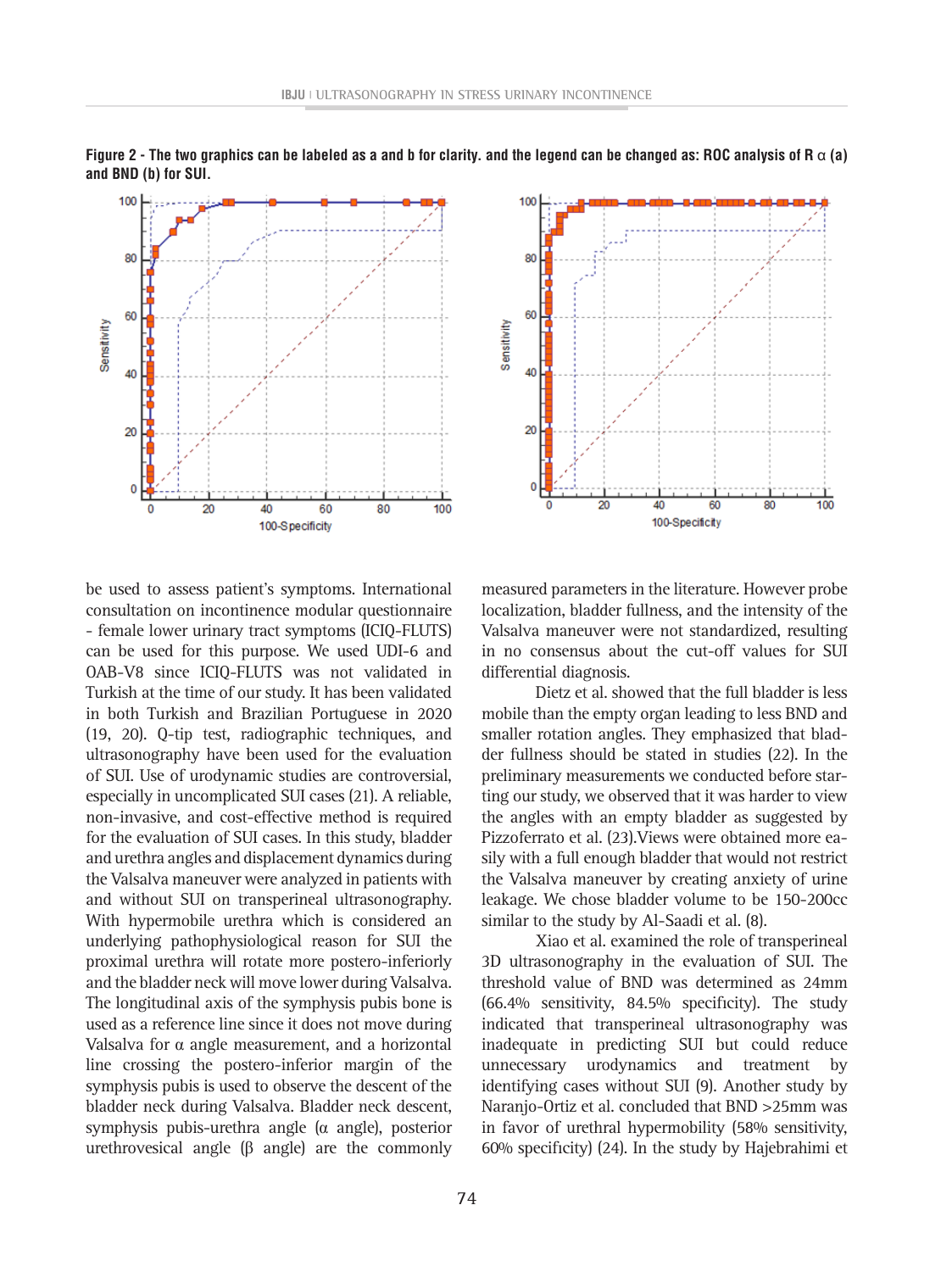



be used to assess patient's symptoms. International consultation on incontinence modular questionnaire - female lower urinary tract symptoms (ICIQ-FLUTS) can be used for this purpose. We used UDI-6 and OAB-V8 since ICIQ-FLUTS was not validated in Turkish at the time of our study. It has been validated in both Turkish and Brazilian Portuguese in 2020 (19, 20). Q-tip test, radiographic techniques, and ultrasonography have been used for the evaluation of SUI. Use of urodynamic studies are controversial, especially in uncomplicated SUI cases (21). A reliable, non-invasive, and cost-effective method is required for the evaluation of SUI cases. In this study, bladder and urethra angles and displacement dynamics during the Valsalva maneuver were analyzed in patients with and without SUI on transperineal ultrasonography. With hypermobile urethra which is considered an underlying pathophysiological reason for SUI the proximal urethra will rotate more postero-inferiorly and the bladder neck will move lower during Valsalva. The longitudinal axis of the symphysis pubis bone is used as a reference line since it does not move during Valsalva for  $\alpha$  angle measurement, and a horizontal line crossing the postero-inferior margin of the symphysis pubis is used to observe the descent of the bladder neck during Valsalva. Bladder neck descent, symphysis pubis-urethra angle (α angle), posterior urethrovesical angle (β angle) are the commonly

measured parameters in the literature. However probe localization, bladder fullness, and the intensity of the Valsalva maneuver were not standardized, resulting in no consensus about the cut-off values for SUI differential diagnosis.

Dietz et al. showed that the full bladder is less mobile than the empty organ leading to less BND and smaller rotation angles. They emphasized that bladder fullness should be stated in studies (22). In the preliminary measurements we conducted before starting our study, we observed that it was harder to view the angles with an empty bladder as suggested by Pizzoferrato et al. (23).Views were obtained more easily with a full enough bladder that would not restrict the Valsalva maneuver by creating anxiety of urine leakage. We chose bladder volume to be 150-200cc similar to the study by Al-Saadi et al. (8).

Xiao et al. examined the role of transperineal 3D ultrasonography in the evaluation of SUI. The threshold value of BND was determined as 24mm (66.4% sensitivity, 84.5% specificity). The study indicated that transperineal ultrasonography was inadequate in predicting SUI but could reduce unnecessary urodynamics and treatment by identifying cases without SUI (9). Another study by Naranjo-Ortiz et al. concluded that BND >25mm was in favor of urethral hypermobility (58% sensitivity, 60% specificity) (24). In the study by Hajebrahimi et

**Figure 2 - The two graphics can be labeled as a and b for clarity. and the legend can be changed as: ROC analysis of R** α **(a) and BND (b) for SUI.**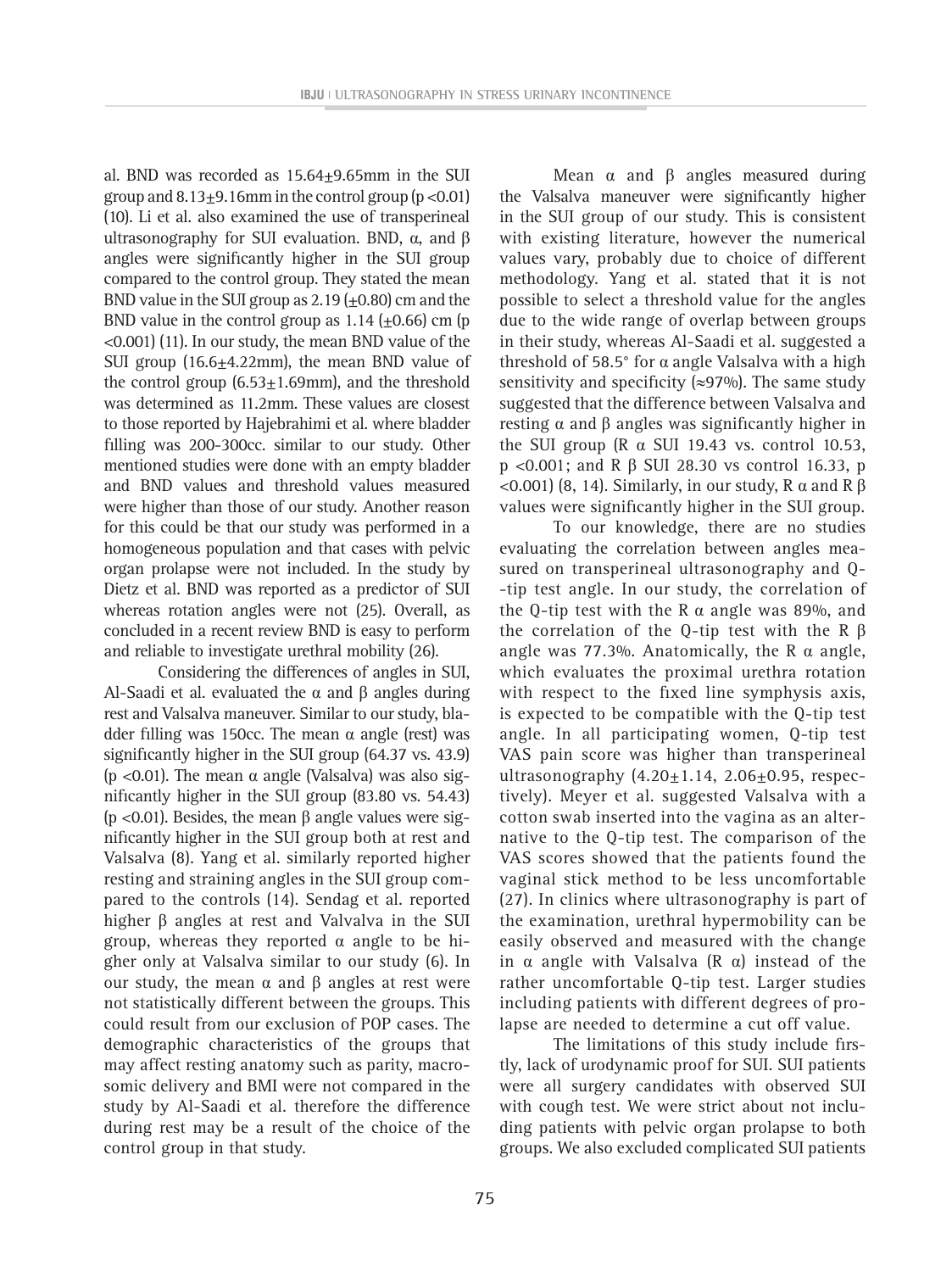al. BND was recorded as  $15.64 \pm 9.65$  mm in the SUI group and  $8.13\pm9.16$ mm in the control group (p <0.01) (10). Li et al. also examined the use of transperineal ultrasonography for SUI evaluation. BND,  $α$ , and  $β$ angles were significantly higher in the SUI group compared to the control group. They stated the mean BND value in the SUI group as  $2.19 \ (\pm 0.80)$  cm and the BND value in the control group as  $1.14$  ( $\pm$ 0.66) cm (p <0.001) (11). In our study, the mean BND value of the SUI group (16.6 $\pm$ 4.22mm), the mean BND value of the control group  $(6.53 \pm 1.69$ mm), and the threshold was determined as 11.2mm. These values are closest to those reported by Hajebrahimi et al. where bladder filling was 200-300cc. similar to our study. Other mentioned studies were done with an empty bladder and BND values and threshold values measured were higher than those of our study. Another reason for this could be that our study was performed in a homogeneous population and that cases with pelvic organ prolapse were not included. In the study by Dietz et al. BND was reported as a predictor of SUI whereas rotation angles were not (25). Overall, as concluded in a recent review BND is easy to perform and reliable to investigate urethral mobility (26).

Considering the differences of angles in SUI, Al-Saadi et al. evaluated the  $\alpha$  and β angles during rest and Valsalva maneuver. Similar to our study, bladder filling was 150cc. The mean α angle (rest) was significantly higher in the SUI group (64.37 vs. 43.9) (p <0.01). The mean  $\alpha$  angle (Valsalva) was also significantly higher in the SUI group (83.80 vs. 54.43) (p <0.01). Besides, the mean β angle values were significantly higher in the SUI group both at rest and Valsalva (8). Yang et al. similarly reported higher resting and straining angles in the SUI group compared to the controls (14). Sendag et al. reported higher β angles at rest and Valvalva in the SUI group, whereas they reported α angle to be higher only at Valsalva similar to our study (6). In our study, the mean  $\alpha$  and β angles at rest were not statistically different between the groups. This could result from our exclusion of POP cases. The demographic characteristics of the groups that may affect resting anatomy such as parity, macrosomic delivery and BMI were not compared in the study by Al-Saadi et al. therefore the difference during rest may be a result of the choice of the control group in that study.

Mean  $\alpha$  and  $\beta$  angles measured during the Valsalva maneuver were significantly higher in the SUI group of our study. This is consistent with existing literature, however the numerical values vary, probably due to choice of different methodology. Yang et al. stated that it is not possible to select a threshold value for the angles due to the wide range of overlap between groups in their study, whereas Al-Saadi et al. suggested a threshold of 58.5° for α angle Valsalva with a high sensitivity and specificity ( $\approx$ 97%). The same study suggested that the difference between Valsalva and resting  $α$  and  $β$  angles was significantly higher in the SUI group (R α SUI 19.43 vs. control 10.53, p <0.001; and R β SUI 28.30 vs control 16.33, p <0.001) (8, 14). Similarly, in our study, R α and R β values were significantly higher in the SUI group.

To our knowledge, there are no studies evaluating the correlation between angles measured on transperineal ultrasonography and Q- -tip test angle. In our study, the correlation of the Q-tip test with the R α angle was 89%, and the correlation of the Q-tip test with the R  $β$ angle was 77.3%. Anatomically, the R  $\alpha$  angle, which evaluates the proximal urethra rotation with respect to the fixed line symphysis axis, is expected to be compatible with the Q-tip test angle. In all participating women, Q-tip test VAS pain score was higher than transperineal ultrasonography  $(4.20 \pm 1.14, 2.06 \pm 0.95,$  respectively). Meyer et al. suggested Valsalva with a cotton swab inserted into the vagina as an alternative to the Q-tip test. The comparison of the VAS scores showed that the patients found the vaginal stick method to be less uncomfortable (27). In clinics where ultrasonography is part of the examination, urethral hypermobility can be easily observed and measured with the change in α angle with Valsalva (R α) instead of the rather uncomfortable Q-tip test. Larger studies including patients with different degrees of prolapse are needed to determine a cut off value.

The limitations of this study include firstly, lack of urodynamic proof for SUI. SUI patients were all surgery candidates with observed SUI with cough test. We were strict about not including patients with pelvic organ prolapse to both groups. We also excluded complicated SUI patients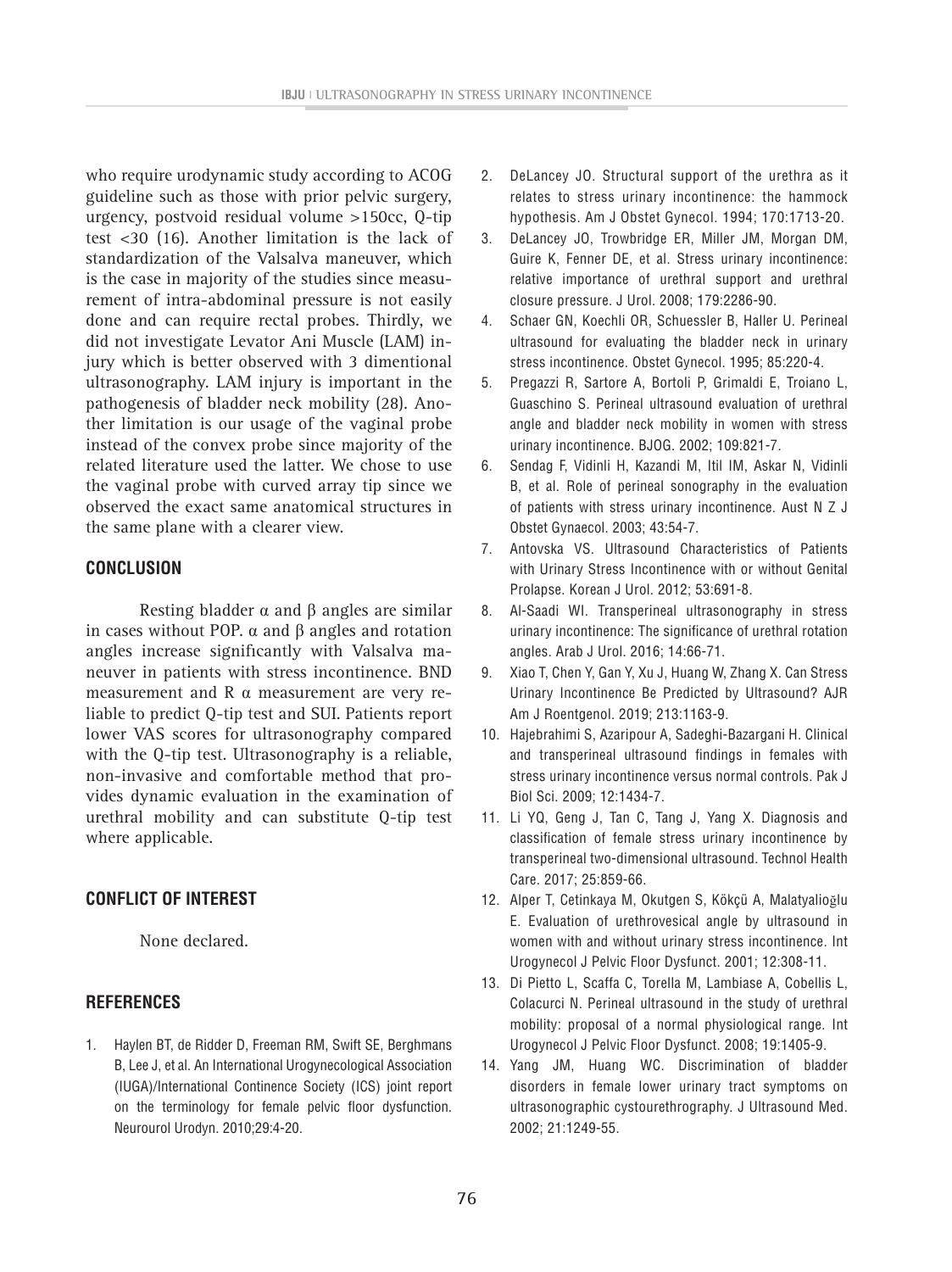who require urodynamic study according to ACOG guideline such as those with prior pelvic surgery, urgency, postvoid residual volume >150cc, Q-tip test <30 (16). Another limitation is the lack of standardization of the Valsalva maneuver, which is the case in majority of the studies since measurement of intra-abdominal pressure is not easily done and can require rectal probes. Thirdly, we did not investigate Levator Ani Muscle (LAM) injury which is better observed with 3 dimentional ultrasonography. LAM injury is important in the pathogenesis of bladder neck mobility (28). Another limitation is our usage of the vaginal probe instead of the convex probe since majority of the related literature used the latter. We chose to use the vaginal probe with curved array tip since we observed the exact same anatomical structures in the same plane with a clearer view.

### **CONCLUSION**

Resting bladder  $α$  and  $β$  angles are similar in cases without POP. α and β angles and rotation angles increase significantly with Valsalva maneuver in patients with stress incontinence. BND measurement and R α measurement are very reliable to predict Q-tip test and SUI. Patients report lower VAS scores for ultrasonography compared with the Q-tip test. Ultrasonography is a reliable, non-invasive and comfortable method that provides dynamic evaluation in the examination of urethral mobility and can substitute Q-tip test where applicable.

## **CONFLICT OF INTEREST**

None declared.

### **REFERENCES**

1. Haylen BT, de Ridder D, Freeman RM, Swift SE, Berghmans B, Lee J, et al. An International Urogynecological Association (IUGA)/International Continence Society (ICS) joint report on the terminology for female pelvic floor dysfunction. Neurourol Urodyn. 2010;29:4-20.

- 2. DeLancey JO. Structural support of the urethra as it relates to stress urinary incontinence: the hammock hypothesis. Am J Obstet Gynecol. 1994; 170:1713-20.
- 3. DeLancey JO, Trowbridge ER, Miller JM, Morgan DM, Guire K, Fenner DE, et al. Stress urinary incontinence: relative importance of urethral support and urethral closure pressure. J Urol. 2008; 179:2286-90.
- 4. Schaer GN, Koechli OR, Schuessler B, Haller U. Perineal ultrasound for evaluating the bladder neck in urinary stress incontinence. Obstet Gynecol. 1995; 85:220-4.
- 5. Pregazzi R, Sartore A, Bortoli P, Grimaldi E, Troiano L, Guaschino S. Perineal ultrasound evaluation of urethral angle and bladder neck mobility in women with stress urinary incontinence. BJOG. 2002; 109:821-7.
- 6. Sendag F, Vidinli H, Kazandi M, Itil IM, Askar N, Vidinli B, et al. Role of perineal sonography in the evaluation of patients with stress urinary incontinence. Aust N Z J Obstet Gynaecol. 2003; 43:54-7.
- 7. Antovska VS. Ultrasound Characteristics of Patients with Urinary Stress Incontinence with or without Genital Prolapse. Korean J Urol. 2012; 53:691-8.
- 8. Al-Saadi WI. Transperineal ultrasonography in stress urinary incontinence: The significance of urethral rotation angles. Arab J Urol. 2016; 14:66-71.
- 9. Xiao T, Chen Y, Gan Y, Xu J, Huang W, Zhang X. Can Stress Urinary Incontinence Be Predicted by Ultrasound? AJR Am J Roentgenol. 2019; 213:1163-9.
- 10. Hajebrahimi S, Azaripour A, Sadeghi-Bazargani H. Clinical and transperineal ultrasound findings in females with stress urinary incontinence versus normal controls. Pak J Biol Sci. 2009; 12:1434-7.
- 11. Li YQ, Geng J, Tan C, Tang J, Yang X. Diagnosis and classification of female stress urinary incontinence by transperineal two-dimensional ultrasound. Technol Health Care. 2017; 25:859-66.
- 12. Alper T, Cetinkaya M, Okutgen S, Kökçü A, Malatyalioğlu E. Evaluation of urethrovesical angle by ultrasound in women with and without urinary stress incontinence. Int Urogynecol J Pelvic Floor Dysfunct. 2001; 12:308-11.
- 13. Di Pietto L, Scaffa C, Torella M, Lambiase A, Cobellis L, Colacurci N. Perineal ultrasound in the study of urethral mobility: proposal of a normal physiological range. Int Urogynecol J Pelvic Floor Dysfunct. 2008; 19:1405-9.
- 14. Yang JM, Huang WC. Discrimination of bladder disorders in female lower urinary tract symptoms on ultrasonographic cystourethrography. J Ultrasound Med. 2002; 21:1249-55.